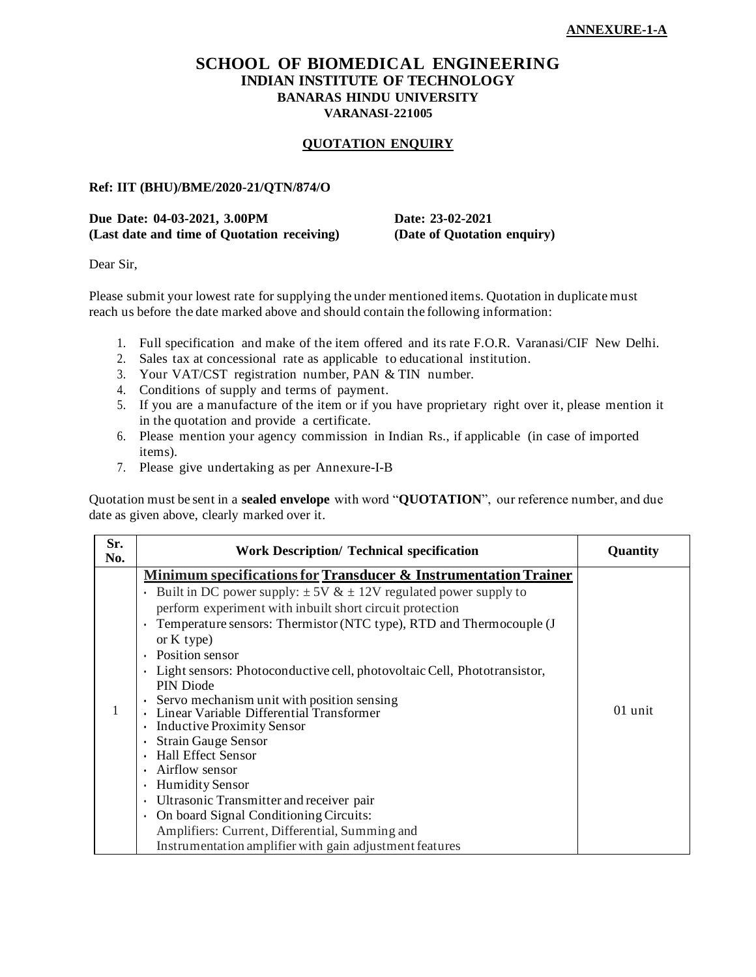### **SCHOOL OF BIOMEDICAL ENGINEERING INDIAN INSTITUTE OF TECHNOLOGY BANARAS HINDU UNIVERSITY VARANASI-221005**

#### **QUOTATION ENQUIRY**

#### **Ref: IIT (BHU)/BME/2020-21/QTN/874/O**

#### **Due Date: 04-03-2021, 3.00PM Date: 23-02-2021 (Last date and time of Quotation receiving) (Date of Quotation enquiry)**

Dear Sir,

Please submit your lowest rate for supplying the under mentioned items. Quotation in duplicate must reach us before the date marked above and should contain the following information:

- 1. Full specification and make of the item offered and its rate F.O.R. Varanasi/CIF New Delhi.
- 2. Sales tax at concessional rate as applicable to educational institution.
- 3. Your VAT/CST registration number, PAN & TIN number.
- 4. Conditions of supply and terms of payment.
- 5. If you are a manufacture of the item or if you have proprietary right over it, please mention it in the quotation and provide a certificate.
- 6. Please mention your agency commission in Indian Rs., if applicable (in case of imported items).
- 7. Please give undertaking as per Annexure-I-B

Quotation must be sent in a **sealed envelope** with word "**QUOTATION**", our reference number, and due date as given above, clearly marked over it.

| Sr.<br>No. | <b>Work Description/ Technical specification</b>                                                                                                                                                                                                                                                                                                                                                                                                                                                                                                                                                                                                                                                                                                                                                                          | Quantity |
|------------|---------------------------------------------------------------------------------------------------------------------------------------------------------------------------------------------------------------------------------------------------------------------------------------------------------------------------------------------------------------------------------------------------------------------------------------------------------------------------------------------------------------------------------------------------------------------------------------------------------------------------------------------------------------------------------------------------------------------------------------------------------------------------------------------------------------------------|----------|
|            | <b>Minimum specifications for Transducer &amp; Instrumentation Trainer</b><br>Built in DC power supply: $\pm 5V \& \pm 12V$ regulated power supply to<br>$\bullet$<br>perform experiment with inbuilt short circuit protection<br>Temperature sensors: Thermistor (NTC type), RTD and Thermocouple (J<br>or $K$ type)<br>Position sensor<br>$\bullet$<br>Light sensors: Photoconductive cell, photovoltaic Cell, Phototransistor,<br>$\bullet$<br>PIN Diode<br>$\cdot$ Servo mechanism unit with position sensing<br>Linear Variable Differential Transformer<br><b>Inductive Proximity Sensor</b><br><b>Strain Gauge Sensor</b><br><b>Hall Effect Sensor</b><br>Airflow sensor<br><b>Humidity Sensor</b><br>Ultrasonic Transmitter and receiver pair<br>$\bullet$<br>On board Signal Conditioning Circuits:<br>$\bullet$ | 01 unit  |
|            | Amplifiers: Current, Differential, Summing and<br>Instrumentation amplifier with gain adjustment features                                                                                                                                                                                                                                                                                                                                                                                                                                                                                                                                                                                                                                                                                                                 |          |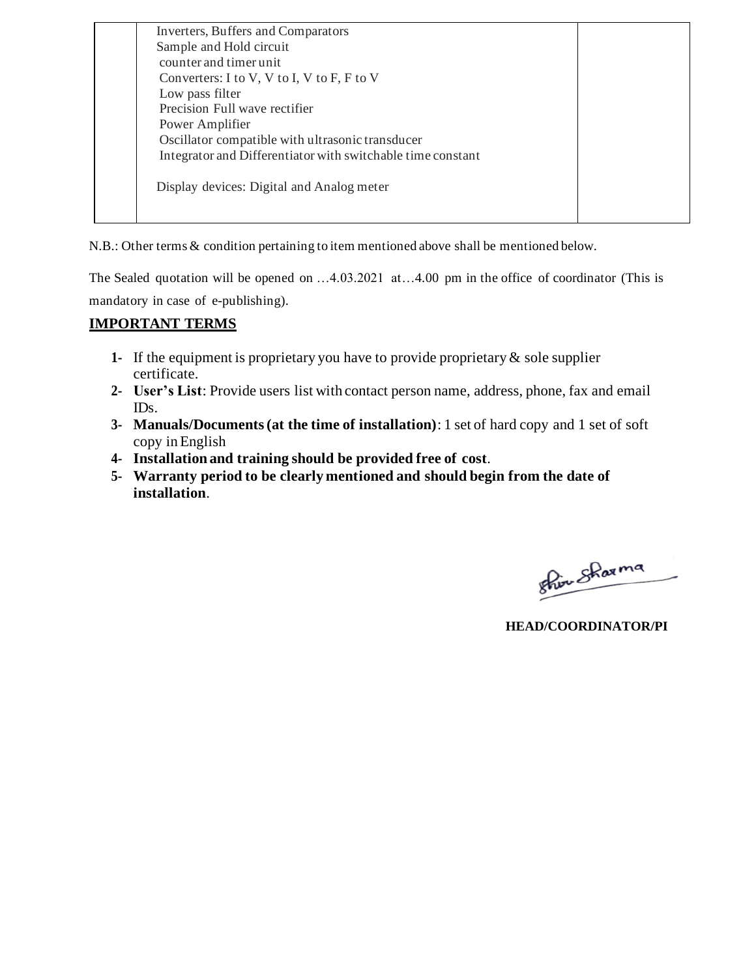| <b>Inverters, Buffers and Comparators</b>                   |  |
|-------------------------------------------------------------|--|
| Sample and Hold circuit                                     |  |
| counter and timer unit                                      |  |
| Converters: I to V, V to I, V to F, F to V                  |  |
| Low pass filter                                             |  |
| Precision Full wave rectifier                               |  |
| Power Amplifier                                             |  |
| Oscillator compatible with ultrasonic transducer            |  |
| Integrator and Differentiator with switchable time constant |  |
| Display devices: Digital and Analog meter                   |  |
|                                                             |  |
|                                                             |  |

N.B.: Other terms & condition pertaining to item mentioned above shall be mentioned below.

The Sealed quotation will be opened on …4.03.2021 at…4.00 pm in the office of coordinator (This is mandatory in case of e-publishing).

## **IMPORTANT TERMS**

- **1-** If the equipment is proprietary you have to provide proprietary & sole supplier certificate.
- **2- User's List**: Provide users list with contact person name, address, phone, fax and email IDs.
- **3- Manuals/Documents (at the time of installation)**: 1 set of hard copy and 1 set of soft copy inEnglish
- **4- Installation and training should be provided free of cost**.
- **5- Warranty period to be clearly mentioned and should begin from the date of installation**.

Shir Sharma

**HEAD/COORDINATOR/PI**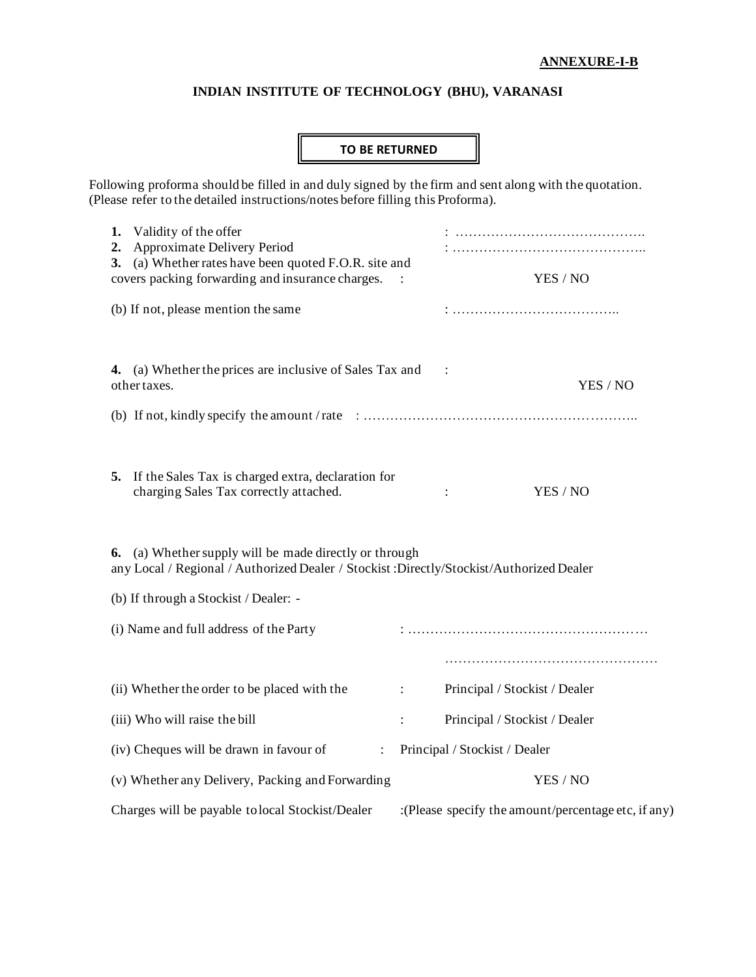### **ANNEXURE-I-B**

## **INDIAN INSTITUTE OF TECHNOLOGY (BHU), VARANASI**

## **TO BE RETURNED**

Following proforma should be filled in and duly signed by the firm and sent along with the quotation. (Please refer to the detailed instructions/notes before filling this Proforma).

| 1.<br>2.                                                                                                                                                   | Validity of the offer<br>Approximate Delivery Period<br>3. (a) Whether rates have been quoted F.O.R. site and<br>covers packing forwarding and insurance charges. |                      | YES / NO                                            |  |
|------------------------------------------------------------------------------------------------------------------------------------------------------------|-------------------------------------------------------------------------------------------------------------------------------------------------------------------|----------------------|-----------------------------------------------------|--|
| (b) If not, please mention the same                                                                                                                        |                                                                                                                                                                   |                      |                                                     |  |
|                                                                                                                                                            | 4. (a) Whether the prices are inclusive of Sales Tax and<br>other taxes.                                                                                          |                      | YES / NO                                            |  |
|                                                                                                                                                            |                                                                                                                                                                   |                      |                                                     |  |
|                                                                                                                                                            | 5. If the Sales Tax is charged extra, declaration for<br>charging Sales Tax correctly attached.                                                                   |                      | YES / NO                                            |  |
| <b>6.</b> (a) Whether supply will be made directly or through<br>any Local / Regional / Authorized Dealer / Stockist : Directly/Stockist/Authorized Dealer |                                                                                                                                                                   |                      |                                                     |  |
|                                                                                                                                                            | (b) If through a Stockist / Dealer: -                                                                                                                             |                      |                                                     |  |
|                                                                                                                                                            | (i) Name and full address of the Party                                                                                                                            |                      |                                                     |  |
|                                                                                                                                                            |                                                                                                                                                                   |                      |                                                     |  |
|                                                                                                                                                            | (ii) Whether the order to be placed with the                                                                                                                      | $\ddot{\phantom{a}}$ | Principal / Stockist / Dealer                       |  |
|                                                                                                                                                            | (iii) Who will raise the bill                                                                                                                                     | $\ddot{\cdot}$       | Principal / Stockist / Dealer                       |  |
|                                                                                                                                                            | (iv) Cheques will be drawn in favour of<br>$\ddot{\phantom{a}}$                                                                                                   |                      | Principal / Stockist / Dealer                       |  |
|                                                                                                                                                            | (v) Whether any Delivery, Packing and Forwarding                                                                                                                  |                      | YES / NO                                            |  |
|                                                                                                                                                            | Charges will be payable to local Stockist/Dealer                                                                                                                  |                      | :(Please specify the amount/percentage etc, if any) |  |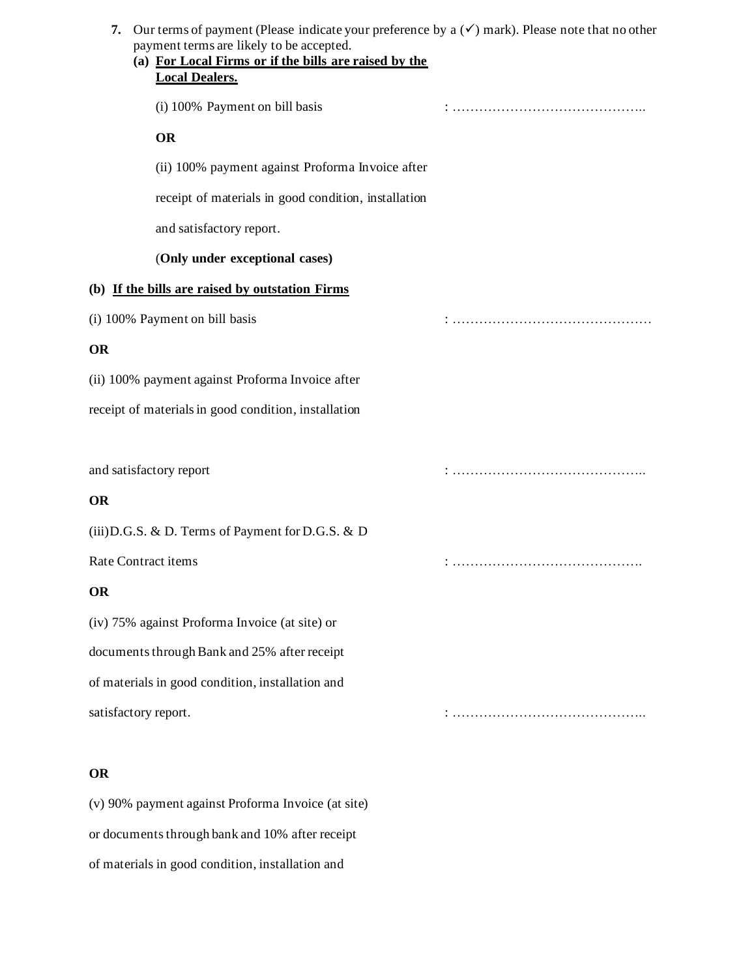| Our terms of payment (Please indicate your preference by a $(\checkmark)$ mark). Please note that no other<br>7.<br>payment terms are likely to be accepted.<br>(a) For Local Firms or if the bills are raised by the<br><b>Local Dealers.</b> |  |
|------------------------------------------------------------------------------------------------------------------------------------------------------------------------------------------------------------------------------------------------|--|
| (i) 100% Payment on bill basis                                                                                                                                                                                                                 |  |
| <b>OR</b>                                                                                                                                                                                                                                      |  |
| (ii) 100% payment against Proforma Invoice after                                                                                                                                                                                               |  |
| receipt of materials in good condition, installation                                                                                                                                                                                           |  |
| and satisfactory report.                                                                                                                                                                                                                       |  |
| (Only under exceptional cases)                                                                                                                                                                                                                 |  |
| (b) If the bills are raised by outstation Firms                                                                                                                                                                                                |  |
| (i) 100% Payment on bill basis                                                                                                                                                                                                                 |  |
| OR                                                                                                                                                                                                                                             |  |
| (ii) 100% payment against Proforma Invoice after                                                                                                                                                                                               |  |
| receipt of materials in good condition, installation                                                                                                                                                                                           |  |
|                                                                                                                                                                                                                                                |  |
| and satisfactory report                                                                                                                                                                                                                        |  |
| <b>OR</b>                                                                                                                                                                                                                                      |  |
| (iii) D.G.S. & D. Terms of Payment for D.G.S. & D                                                                                                                                                                                              |  |
| Rate Contract items                                                                                                                                                                                                                            |  |
| OR                                                                                                                                                                                                                                             |  |
| (iv) 75% against Proforma Invoice (at site) or                                                                                                                                                                                                 |  |
| documents through Bank and 25% after receipt                                                                                                                                                                                                   |  |
| of materials in good condition, installation and                                                                                                                                                                                               |  |
| satisfactory report.                                                                                                                                                                                                                           |  |
|                                                                                                                                                                                                                                                |  |
| OR                                                                                                                                                                                                                                             |  |
| (v) 90% payment against Proforma Invoice (at site)                                                                                                                                                                                             |  |
| or documents through bank and 10% after receipt                                                                                                                                                                                                |  |
| of materials in good condition, installation and                                                                                                                                                                                               |  |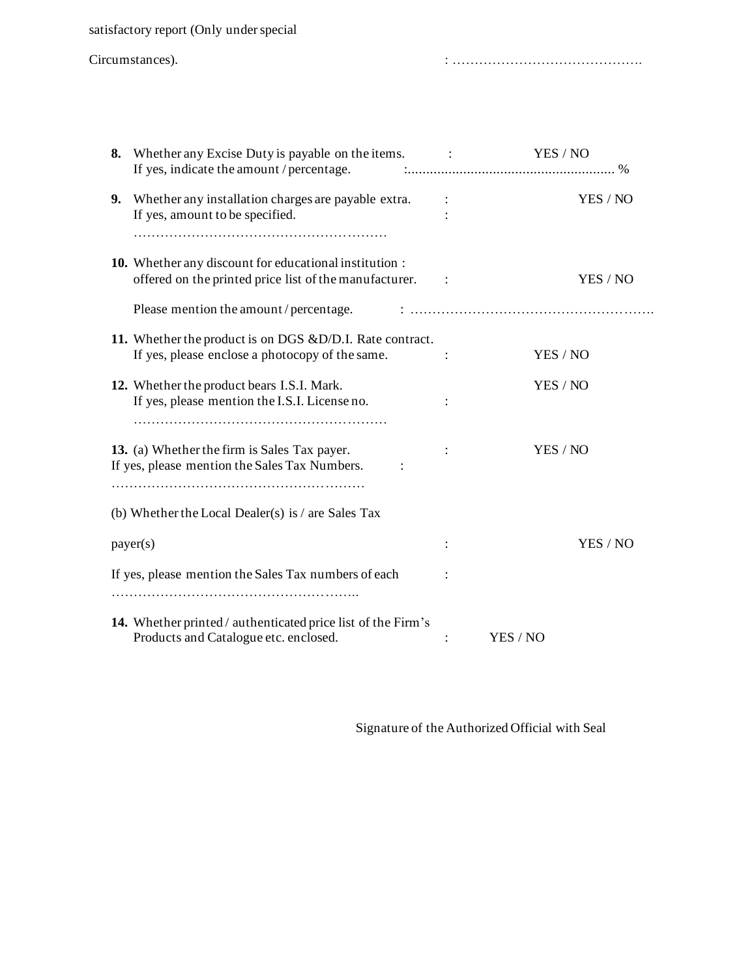satisfactory report (Only under special

| Circumstances). |  |  |
|-----------------|--|--|
|-----------------|--|--|

Circumstances). : …………………………………….

| 8. Whether any Excise Duty is payable on the items.                                                              | <b>Contract Contract</b> | YES / NO |
|------------------------------------------------------------------------------------------------------------------|--------------------------|----------|
| 9. Whether any installation charges are payable extra.<br>If yes, amount to be specified.                        |                          | YES / NO |
| 10. Whether any discount for educational institution :<br>offered on the printed price list of the manufacturer. |                          | YES / NO |
|                                                                                                                  |                          |          |
| 11. Whether the product is on DGS & D/D.I. Rate contract.<br>If yes, please enclose a photocopy of the same.     |                          | YES / NO |
| 12. Whether the product bears I.S.I. Mark.<br>If yes, please mention the I.S.I. License no.                      |                          | YES / NO |
| 13. (a) Whether the firm is Sales Tax payer.<br>If yes, please mention the Sales Tax Numbers.                    |                          | YES / NO |
| (b) Whether the Local Dealer(s) is $/$ are Sales Tax                                                             |                          |          |
| payer(s)                                                                                                         |                          | YES / NO |
| If yes, please mention the Sales Tax numbers of each                                                             |                          |          |
| 14. Whether printed / authenticated price list of the Firm's<br>Products and Catalogue etc. enclosed.            |                          | YES / NO |

Signature of the Authorized Official with Seal